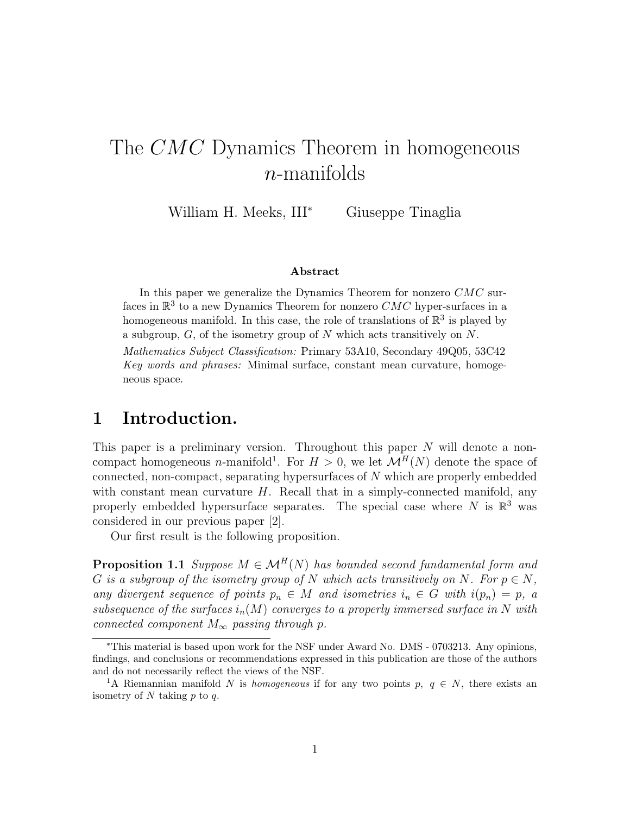# The CMC Dynamics Theorem in homogeneous n-manifolds

William H. Meeks, III<sup>∗</sup> Giuseppe Tinaglia

#### Abstract

In this paper we generalize the Dynamics Theorem for nonzero  $CMC$  surfaces in  $\mathbb{R}^3$  to a new Dynamics Theorem for nonzero  $CMC$  hyper-surfaces in a homogeneous manifold. In this case, the role of translations of  $\mathbb{R}^3$  is played by a subgroup,  $G$ , of the isometry group of  $N$  which acts transitively on  $N$ . Mathematics Subject Classification: Primary 53A10, Secondary 49Q05, 53C42 Key words and phrases: Minimal surface, constant mean curvature, homogeneous space.

#### 1 Introduction.

This paper is a preliminary version. Throughout this paper  $N$  will denote a noncompact homogeneous *n*-manifold<sup>1</sup>. For  $H > 0$ , we let  $\mathcal{M}^H(N)$  denote the space of connected, non-compact, separating hypersurfaces of N which are properly embedded with constant mean curvature  $H$ . Recall that in a simply-connected manifold, any properly embedded hypersurface separates. The special case where N is  $\mathbb{R}^3$  was considered in our previous paper [2].

Our first result is the following proposition.

**Proposition 1.1** Suppose  $M \in \mathcal{M}^H(N)$  has bounded second fundamental form and G is a subgroup of the isometry group of N which acts transitively on N. For  $p \in N$ , any divergent sequence of points  $p_n \in M$  and isometries  $i_n \in G$  with  $i(p_n) = p$ , a subsequence of the surfaces  $i_n(M)$  converges to a properly immersed surface in N with connected component  $M_{\infty}$  passing through p.

<sup>∗</sup>This material is based upon work for the NSF under Award No. DMS - 0703213. Any opinions, findings, and conclusions or recommendations expressed in this publication are those of the authors and do not necessarily reflect the views of the NSF.

<sup>&</sup>lt;sup>1</sup>A Riemannian manifold N is homogeneous if for any two points p,  $q \in N$ , there exists an isometry of  $N$  taking  $p$  to  $q$ .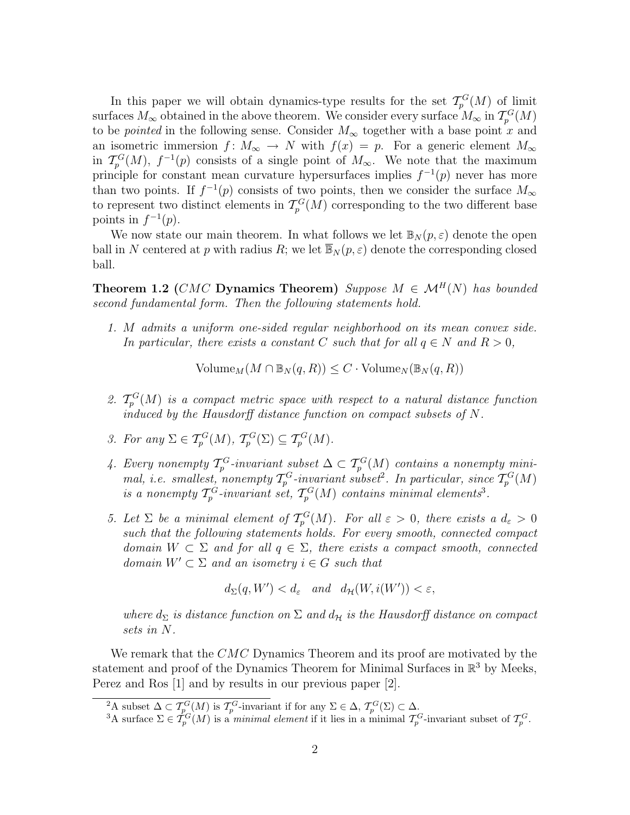In this paper we will obtain dynamics-type results for the set  $\mathcal{T}_{p}^{G}(M)$  of limit surfaces  $M_{\infty}$  obtained in the above theorem. We consider every surface  $M_{\infty}$  in  $\mathcal{T}_{p}^{G}(M)$ to be *pointed* in the following sense. Consider  $M_{\infty}$  together with a base point x and an isometric immersion  $f: M_{\infty} \to N$  with  $f(x) = p$ . For a generic element  $M_{\infty}$ in  $\mathcal{T}_{p}^{G}(M)$ ,  $f^{-1}(p)$  consists of a single point of  $M_{\infty}$ . We note that the maximum principle for constant mean curvature hypersurfaces implies  $f^{-1}(p)$  never has more than two points. If  $f^{-1}(p)$  consists of two points, then we consider the surface  $M_{\infty}$ to represent two distinct elements in  $\mathcal{T}_{p}^{G}(M)$  corresponding to the two different base points in  $f^{-1}(p)$ .

We now state our main theorem. In what follows we let  $\mathbb{B}_N(p,\varepsilon)$  denote the open ball in N centered at p with radius R; we let  $\overline{\mathbb{B}}_N(p,\varepsilon)$  denote the corresponding closed ball.

Theorem 1.2 (CMC Dynamics Theorem) Suppose  $M \in \mathcal{M}^H(N)$  has bounded second fundamental form. Then the following statements hold.

1. M admits a uniform one-sided regular neighborhood on its mean convex side. In particular, there exists a constant C such that for all  $q \in N$  and  $R > 0$ ,

 $Volume_M(M \cap \mathbb{B}_N(q, R)) \leq C \cdot Volume_N(\mathbb{B}_N(q, R))$ 

- 2.  $\mathcal{T}_p^G(M)$  is a compact metric space with respect to a natural distance function induced by the Hausdorff distance function on compact subsets of N.
- 3. For any  $\Sigma \in \mathcal{T}_p^G(M)$ ,  $\mathcal{T}_p^G(\Sigma) \subseteq \mathcal{T}_p^G(M)$ .
- 4. Every nonempty  $\mathcal{T}_p^G$ -invariant subset  $\Delta \subset \mathcal{T}_p^G(M)$  contains a nonempty minimal, i.e. smallest, nonempty  $\mathcal{T}_p^G$ -invariant subset<sup>2</sup>. In particular, since  $\mathcal{T}_p^G(M)$ is a nonempty  $\mathcal{T}_{p}^{G}$ -invariant set,  $\mathcal{T}_{p}^{G}(M)$  contains minimal elements<sup>3</sup>.
- 5. Let  $\Sigma$  be a minimal element of  $\mathcal{T}_{p}^{G}(M)$ . For all  $\varepsilon > 0$ , there exists a  $d_{\varepsilon} > 0$ such that the following statements holds. For every smooth, connected compact domain  $W \subset \Sigma$  and for all  $q \in \Sigma$ , there exists a compact smooth, connected domain  $W' \subset \Sigma$  and an isometry  $i \in G$  such that

$$
d_{\Sigma}(q, W') < d_{\varepsilon} \quad and \quad d_{\mathcal{H}}(W, i(W')) < \varepsilon,
$$

where  $d_{\Sigma}$  is distance function on  $\Sigma$  and  $d_{\mathcal{H}}$  is the Hausdorff distance on compact sets in N.

We remark that the CMC Dynamics Theorem and its proof are motivated by the statement and proof of the Dynamics Theorem for Minimal Surfaces in  $\mathbb{R}^3$  by Meeks, Perez and Ros [1] and by results in our previous paper [2].

<sup>&</sup>lt;sup>2</sup>A subset  $\Delta \subset \mathcal{T}_{p}^G(M)$  is  $\mathcal{T}_{p}^G$ -invariant if for any  $\Sigma \in \Delta$ ,  $\mathcal{T}_{p}^G(\Sigma) \subset \Delta$ .

<sup>&</sup>lt;sup>3</sup>A surface  $\Sigma \in \dot{T}_p^G(M)$  is a *minimal element* if it lies in a minimal  $\mathcal{T}_p^G$ -invariant subset of  $\mathcal{T}_p^G$ .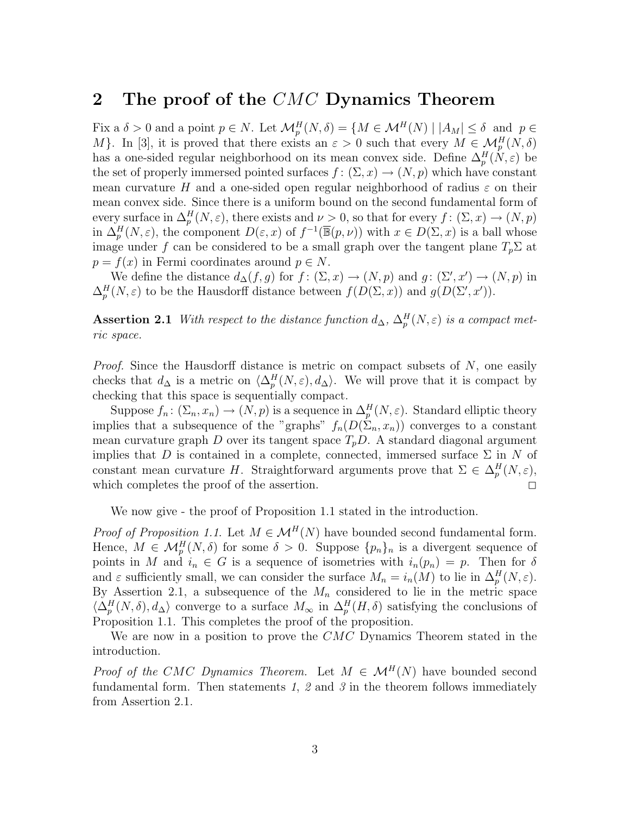### 2 The proof of the CMC Dynamics Theorem

Fix a  $\delta > 0$  and a point  $p \in N$ . Let  $\mathcal{M}_p^H(N, \delta) = \{ M \in \mathcal{M}^H(N) \mid |A_M| \leq \delta \text{ and } p \in$ M}. In [3], it is proved that there exists an  $\varepsilon > 0$  such that every  $M \in \mathcal{M}_p^H(N, \delta)$ has a one-sided regular neighborhood on its mean convex side. Define  $\Delta_p^H(N, \varepsilon)$  be the set of properly immersed pointed surfaces  $f: (\Sigma, x) \to (N, p)$  which have constant mean curvature H and a one-sided open regular neighborhood of radius  $\varepsilon$  on their mean convex side. Since there is a uniform bound on the second fundamental form of every surface in  $\Delta_p^H(N, \varepsilon)$ , there exists and  $\nu > 0$ , so that for every  $f : (\Sigma, x) \to (N, p)$ in  $\Delta_p^H(N,\varepsilon)$ , the component  $D(\varepsilon,x)$  of  $f^{-1}(\overline{\mathbb{B}}(p,\nu))$  with  $x \in D(\Sigma,x)$  is a ball whose image under f can be considered to be a small graph over the tangent plane  $T_p \Sigma$  at  $p = f(x)$  in Fermi coordinates around  $p \in N$ .

We define the distance  $d_{\Delta}(f,g)$  for  $f: (\Sigma, x) \to (N,p)$  and  $g: (\Sigma', x') \to (N,p)$  in  $\Delta_p^H(N,\varepsilon)$  to be the Hausdorff distance between  $f(D(\Sigma, x))$  and  $g(D(\Sigma', x'))$ .

Assertion 2.1 With respect to the distance function  $d_{\Delta}$ ,  $\Delta_p^H(N, \varepsilon)$  is a compact metric space.

Proof. Since the Hausdorff distance is metric on compact subsets of N, one easily checks that  $d_{\Delta}$  is a metric on  $\langle \Delta_p^H(N, \varepsilon), d_{\Delta} \rangle$ . We will prove that it is compact by checking that this space is sequentially compact.

Suppose  $f_n: (\Sigma_n, x_n) \to (N, p)$  is a sequence in  $\Delta_p^H(N, \varepsilon)$ . Standard elliptic theory implies that a subsequence of the "graphs"  $f_n(D(\Sigma_n, x_n))$  converges to a constant mean curvature graph D over its tangent space  $T_pD$ . A standard diagonal argument implies that D is contained in a complete, connected, immersed surface  $\Sigma$  in N of constant mean curvature H. Straightforward arguments prove that  $\Sigma \in \Delta_p^H(N, \varepsilon)$ , which completes the proof of the assertion.  $\Box$ 

We now give - the proof of Proposition 1.1 stated in the introduction.

*Proof of Proposition 1.1.* Let  $M \in \mathcal{M}^H(N)$  have bounded second fundamental form. Hence,  $M \in \mathcal{M}_p^H(N, \delta)$  for some  $\delta > 0$ . Suppose  $\{p_n\}_n$  is a divergent sequence of points in M and  $i_n \in G$  is a sequence of isometries with  $i_n(p_n) = p$ . Then for  $\delta$ and  $\varepsilon$  sufficiently small, we can consider the surface  $M_n = i_n(M)$  to lie in  $\Delta_p^H(N, \varepsilon)$ . By Assertion 2.1, a subsequence of the  $M_n$  considered to lie in the metric space  $\langle \Delta_p^H(N,\delta), d_\Delta \rangle$  converge to a surface  $M_\infty$  in  $\Delta_p^H(M,\delta)$  satisfying the conclusions of Proposition 1.1. This completes the proof of the proposition.

We are now in a position to prove the CMC Dynamics Theorem stated in the introduction.

*Proof of the CMC Dynamics Theorem.* Let  $M \in \mathcal{M}^H(N)$  have bounded second fundamental form. Then statements 1, 2 and 3 in the theorem follows immediately from Assertion 2.1.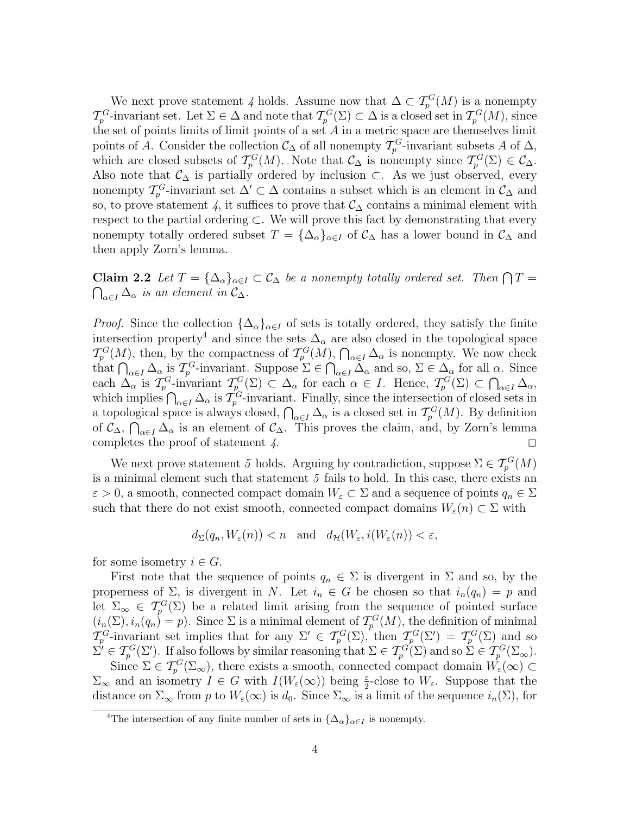We next prove statement 4 holds. Assume now that  $\Delta \subset T_p^G(M)$  is a nonempty  $\mathcal{T}_{p}^{G}$ -invariant set. Let  $\Sigma \in \Delta$  and note that  $\mathcal{T}_{p}^{G}(\Sigma) \subset \Delta$  is a closed set in  $\mathcal{T}_{p}^{G}(M)$ , since the set of points limits of limit points of a set  $A$  in a metric space are themselves limit points of A. Consider the collection  $\mathcal{C}_{\Delta}$  of all nonempty  $\mathcal{T}_{p}^{G}$ -invariant subsets A of  $\Delta$ , which are closed subsets of  $\mathcal{T}_{p}^{G}(M)$ . Note that  $\mathcal{C}_{\Delta}$  is nonempty since  $\mathcal{T}_{p}^{G}(\Sigma) \in \mathcal{C}_{\Delta}$ . Also note that  $\mathcal{C}_{\Delta}$  is partially ordered by inclusion ⊂. As we just observed, every nonempty  $\mathcal{T}_{p}^{G}$ -invariant set  $\Delta' \subset \Delta$  contains a subset which is an element in  $\mathcal{C}_{\Delta}$  and so, to prove statement 4, it suffices to prove that  $\mathcal{C}_{\Delta}$  contains a minimal element with respect to the partial ordering ⊂. We will prove this fact by demonstrating that every nonempty totally ordered subset  $T = {\{\Delta_{\alpha}\}_{{\alpha} \in I}}$  of  $\mathcal{C}_{\Delta}$  has a lower bound in  $\mathcal{C}_{\Delta}$  and then apply Zorn's lemma.

**Claim 2.2** Let  $T = {\{\Delta_{\alpha}\}_{{\alpha} \in I}} \subset \mathcal{C}_{\Delta}$  be a nonempty totally ordered set. Then  $\bigcap T =$  $\bigcap_{\alpha\in I}\Delta_\alpha$  is an element in  $\mathcal{C}_\Delta$ .

*Proof.* Since the collection  $\{\Delta_{\alpha}\}_{{\alpha \in I}}$  of sets is totally ordered, they satisfy the finite intersection property<sup>4</sup> and since the sets  $\Delta_{\alpha}$  are also closed in the topological space  $\mathcal{T}_{p}^{G}(M)$ , then, by the compactness of  $\mathcal{T}_{p}^{G}(M)$ ,  $\bigcap_{\alpha\in I}\Delta_{\alpha}$  is nonempty. We now check that  $\bigcap_{\alpha \in I} \Delta_{\alpha}$  is  $\mathcal{T}_{p}^{G}$ -invariant. Suppose  $\Sigma \in \bigcap_{\alpha \in I} \tilde{\Delta}_{\alpha}$  and so,  $\Sigma \in \Delta_{\alpha}$  for all  $\alpha$ . Since each  $\Delta_{\alpha}$  is  $\mathcal{T}_{p}^{G}$ -invariant  $\mathcal{T}_{p}^{G}(\Sigma) \subset \Delta_{\alpha}$  for each  $\alpha \in I$ . Hence,  $\mathcal{T}_{p}^{G}(\Sigma) \subset \bigcap_{\alpha \in I} \Delta_{\alpha}$ , which implies  $\bigcap_{\alpha\in I}\Delta_\alpha$  is  $\mathcal{T}_p^G$ -invariant. Finally, since the intersection of closed sets in a topological space is always closed,  $\bigcap_{\alpha \in I} \Delta_{\alpha}$  is a closed set in  $\mathcal{T}_{p}^{G}(M)$ . By definition of  $\mathcal{C}_{\Delta}$ ,  $\bigcap_{\alpha \in I} \Delta_{\alpha}$  is an element of  $\mathcal{C}_{\Delta}$ . This proves the claim, and, by Zorn's lemma completes the proof of statement  $\angle$ .

We next prove statement 5 holds. Arguing by contradiction, suppose  $\Sigma \in \mathcal{T}_p^G(M)$ is a minimal element such that statement 5 fails to hold. In this case, there exists an  $\varepsilon > 0$ , a smooth, connected compact domain  $W_{\varepsilon} \subset \Sigma$  and a sequence of points  $q_n \in \Sigma$ such that there do not exist smooth, connected compact domains  $W_{\varepsilon}(n) \subset \Sigma$  with

$$
d_{\Sigma}(q_n, W_{\varepsilon}(n)) < n
$$
 and  $d_{\mathcal{H}}(W_{\varepsilon}, i(W_{\varepsilon}(n)) < \varepsilon$ ,

for some isometry  $i \in G$ .

First note that the sequence of points  $q_n \in \Sigma$  is divergent in  $\Sigma$  and so, by the properness of  $\Sigma$ , is divergent in N. Let  $i_n \in G$  be chosen so that  $i_n(q_n) = p$  and let  $\Sigma_{\infty} \in \mathcal{T}_{p}^{G}(\Sigma)$  be a related limit arising from the sequence of pointed surface  $(i_n(\Sigma), i_n(q_n) = p)$ . Since  $\Sigma$  is a minimal element of  $\mathcal{T}_p^G(M)$ , the definition of minimal  $\mathcal{T}_p^G$ -invariant set implies that for any  $\Sigma' \in \mathcal{T}_p^G(\Sigma)$ , then  $\mathcal{T}_p^G(\Sigma') = \mathcal{T}_p^G(\Sigma)$  and so  $\Sigma' \in \mathcal{T}_{p}^{G}(\Sigma')$ . If also follows by similar reasoning that  $\Sigma \in \mathcal{T}_{p}^{G}(\Sigma)$  and so  $\Sigma \in \mathcal{T}_{p}^{G}(\Sigma_{\infty})$ .

Since  $\Sigma \in \mathcal{T}_{p}^{G}(\Sigma_{\infty})$ , there exists a smooth, connected compact domain  $\tilde{W}_{\varepsilon}(\infty) \subset$  $\Sigma_{\infty}$  and an isometry  $I \in G$  with  $I(W_{\varepsilon}(\infty))$  being  $\frac{\varepsilon}{2}$ -close to  $W_{\varepsilon}$ . Suppose that the distance on  $\Sigma_{\infty}$  from p to  $W_{\varepsilon}(\infty)$  is  $d_0$ . Since  $\Sigma_{\infty}$  is a limit of the sequence  $i_n(\Sigma)$ , for

<sup>&</sup>lt;sup>4</sup>The intersection of any finite number of sets in  ${\{\Delta_{\alpha}\}}_{\alpha\in I}$  is nonempty.